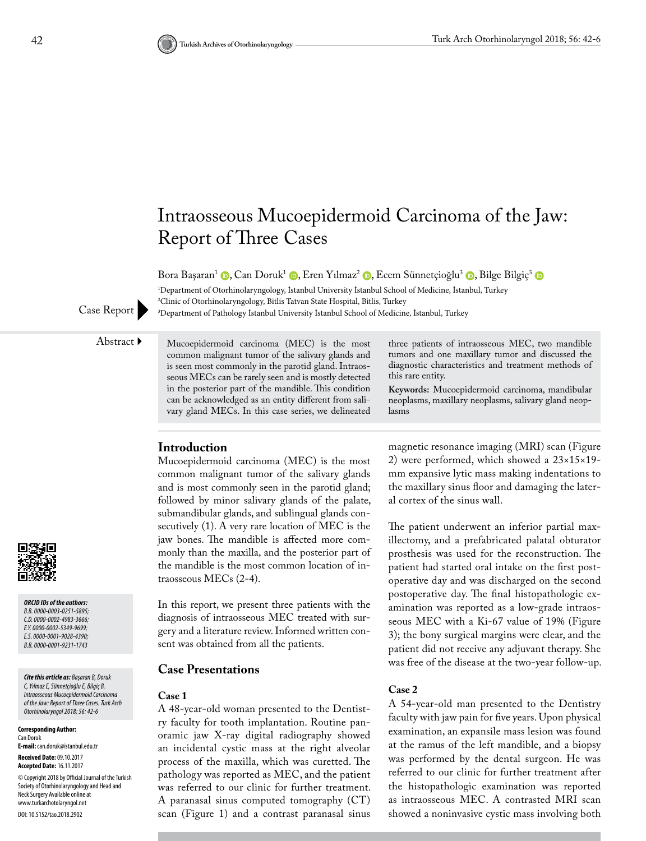

Bora Başaran<sup>1</sup> (D[,](https://orcid.org/0000-0001-9028-4390) Can Doruk<sup>1</sup> (D, Eren Yılmaz<sup>2</sup> (D, Ecem Sünnetçioğlu<sup>3</sup> (D, Bilge Bilgiç<sup>3</sup> (D

1 Department of Otorhinolaryngology, İstanbul University İstanbul School of Medicine, İstanbul, Turkey 2 Clinic of Otorhinolaryngology, Bitlis Tatvan State Hospital, Bitlis, Turkey <sup>3</sup>Department of Pathology İstanbul University İstanbul School of Medicine, İstanbul, Turkey

Case Report

Abstract Mucoepidermoid carcinoma (MEC) is the most common malignant tumor of the salivary glands and is seen most commonly in the parotid gland. Intraosseous MECs can be rarely seen and is mostly detected in the posterior part of the mandible. This condition can be acknowledged as an entity different from salivary gland MECs. In this case series, we delineated

three patients of intraosseous MEC, two mandible tumors and one maxillary tumor and discussed the diagnostic characteristics and treatment methods of this rare entity.

**Keywords:** Mucoepidermoid carcinoma, mandibular neoplasms, maxillary neoplasms, salivary gland neoplasms

# **Introduction**

Mucoepidermoid carcinoma (MEC) is the most common malignant tumor of the salivary glands and is most commonly seen in the parotid gland; followed by minor salivary glands of the palate, submandibular glands, and sublingual glands consecutively (1). A very rare location of MEC is the jaw bones. The mandible is affected more commonly than the maxilla, and the posterior part of the mandible is the most common location of intraosseous MECs (2-4).

In this report, we present three patients with the diagnosis of intraosseous MEC treated with surgery and a literature review. Informed written consent was obtained from all the patients.

### **Case Presentations**

#### **Case 1**

A 48-year-old woman presented to the Dentistry faculty for tooth implantation. Routine panoramic jaw X-ray digital radiography showed an incidental cystic mass at the right alveolar process of the maxilla, which was curetted. The pathology was reported as MEC, and the patient was referred to our clinic for further treatment. A paranasal sinus computed tomography (CT) scan (Figure 1) and a contrast paranasal sinus

magnetic resonance imaging (MRI) scan (Figure 2) were performed, which showed a 23×15×19 mm expansive lytic mass making indentations to the maxillary sinus floor and damaging the lateral cortex of the sinus wall.

The patient underwent an inferior partial maxillectomy, and a prefabricated palatal obturator prosthesis was used for the reconstruction. The patient had started oral intake on the first postoperative day and was discharged on the second postoperative day. The final histopathologic examination was reported as a low-grade intraosseous MEC with a Ki-67 value of 19% (Figure 3); the bony surgical margins were clear, and the patient did not receive any adjuvant therapy. She was free of the disease at the two-year follow-up.

#### **Case 2**

A 54-year-old man presented to the Dentistry faculty with jaw pain for five years. Upon physical examination, an expansile mass lesion was found at the ramus of the left mandible, and a biopsy was performed by the dental surgeon. He was referred to our clinic for further treatment after the histopathologic examination was reported as intraosseous MEC. A contrasted MRI scan showed a noninvasive cystic mass involving both



*ORCID IDs of the authors: B.B. 0000-0003-0251-5895; C.D. 0000-0002-4983-3666; E.Y. 0000-0002-5349-9699; E.S. 0000-0001-9028-4390; B.B. 0000-0001-9231-1743*

*Cite this article as: Başaran B, Doruk C, Yılmaz E, Sünnetçioğlu E, Bilgiç B. Intraosseous Mucoepidermoid Carcinoma of the Jaw: Report of Three Cases. Turk Arch Otorhinolaryngol 2018; 56: 42-6*

**Corresponding Author:**  Can Doruk **E-mail:** can.doruk@istanbul.edu.tr **Received Date:** 09.10.2017 **Accepted Date:** 16.11.2017 © Copyright 2018 by Official Journal of the Turkish Society of Otorhinolaryngology and Head and Neck Surgery Available online at www.turkarchotolaryngol.net DOI: 10.5152/tao.2018.2902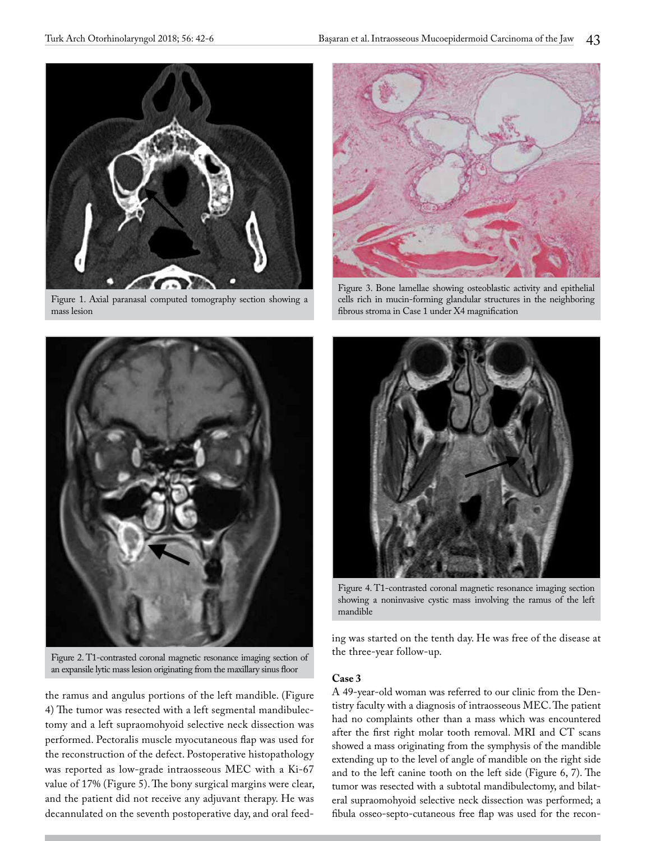

Figure 1. Axial paranasal computed tomography section showing a mass lesion



Figure 2. T1-contrasted coronal magnetic resonance imaging section of an expansile lytic mass lesion originating from the maxillary sinus floor

the ramus and angulus portions of the left mandible. (Figure 4) The tumor was resected with a left segmental mandibulectomy and a left supraomohyoid selective neck dissection was performed. Pectoralis muscle myocutaneous flap was used for the reconstruction of the defect. Postoperative histopathology was reported as low-grade intraosseous MEC with a Ki-67 value of 17% (Figure 5). The bony surgical margins were clear, and the patient did not receive any adjuvant therapy. He was decannulated on the seventh postoperative day, and oral feed-



Figure 3. Bone lamellae showing osteoblastic activity and epithelial cells rich in mucin-forming glandular structures in the neighboring fibrous stroma in Case 1 under X4 magnification



Figure 4. T1-contrasted coronal magnetic resonance imaging section showing a noninvasive cystic mass involving the ramus of the left mandible

ing was started on the tenth day. He was free of the disease at the three-year follow-up.

### **Case 3**

A 49-year-old woman was referred to our clinic from the Dentistry faculty with a diagnosis of intraosseous MEC. The patient had no complaints other than a mass which was encountered after the first right molar tooth removal. MRI and CT scans showed a mass originating from the symphysis of the mandible extending up to the level of angle of mandible on the right side and to the left canine tooth on the left side (Figure 6, 7). The tumor was resected with a subtotal mandibulectomy, and bilateral supraomohyoid selective neck dissection was performed; a fibula osseo-septo-cutaneous free flap was used for the recon-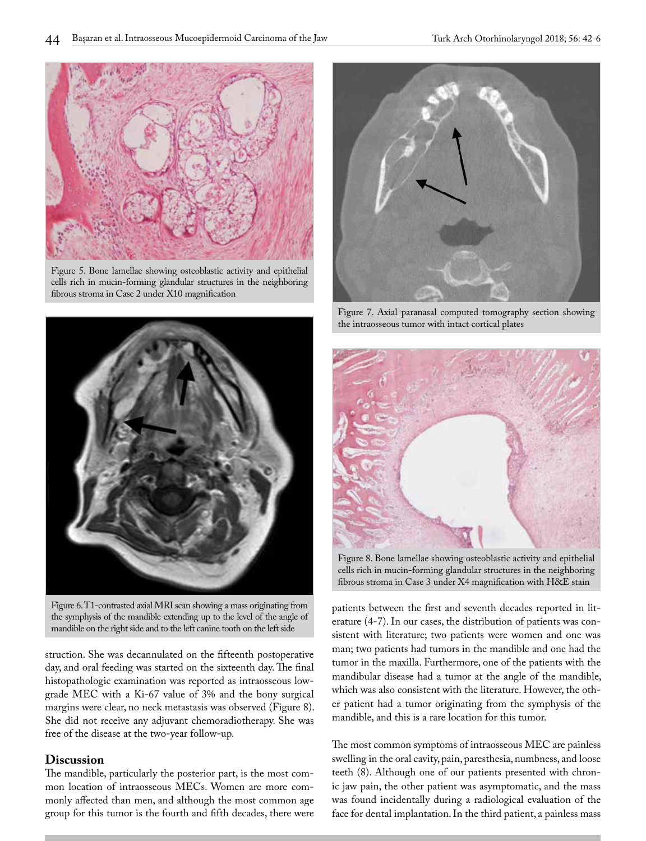

Figure 5. Bone lamellae showing osteoblastic activity and epithelial cells rich in mucin-forming glandular structures in the neighboring fibrous stroma in Case 2 under X10 magnification



Figure 6. T1-contrasted axial MRI scan showing a mass originating from the symphysis of the mandible extending up to the level of the angle of mandible on the right side and to the left canine tooth on the left side

struction. She was decannulated on the fifteenth postoperative day, and oral feeding was started on the sixteenth day. The final histopathologic examination was reported as intraosseous lowgrade MEC with a Ki-67 value of 3% and the bony surgical margins were clear, no neck metastasis was observed (Figure 8). She did not receive any adjuvant chemoradiotherapy. She was free of the disease at the two-year follow-up.

## **Discussion**

The mandible, particularly the posterior part, is the most common location of intraosseous MECs. Women are more commonly affected than men, and although the most common age group for this tumor is the fourth and fifth decades, there were



Figure 7. Axial paranasal computed tomography section showing the intraosseous tumor with intact cortical plates



Figure 8. Bone lamellae showing osteoblastic activity and epithelial cells rich in mucin-forming glandular structures in the neighboring fibrous stroma in Case 3 under X4 magnification with H&E stain

patients between the first and seventh decades reported in literature (4-7). In our cases, the distribution of patients was consistent with literature; two patients were women and one was man; two patients had tumors in the mandible and one had the tumor in the maxilla. Furthermore, one of the patients with the mandibular disease had a tumor at the angle of the mandible, which was also consistent with the literature. However, the other patient had a tumor originating from the symphysis of the mandible, and this is a rare location for this tumor.

The most common symptoms of intraosseous MEC are painless swelling in the oral cavity, pain, paresthesia, numbness, and loose teeth (8). Although one of our patients presented with chronic jaw pain, the other patient was asymptomatic, and the mass was found incidentally during a radiological evaluation of the face for dental implantation. In the third patient, a painless mass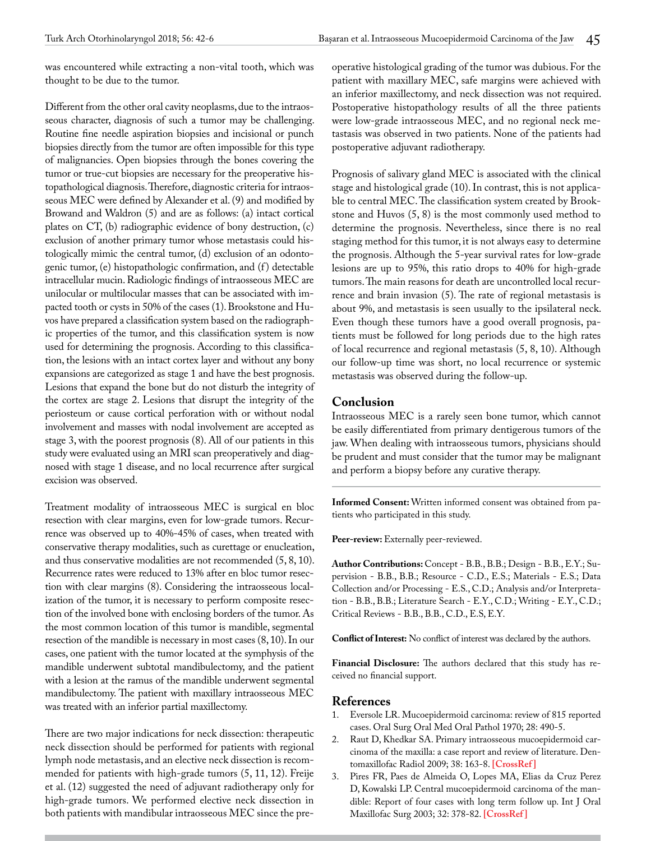was encountered while extracting a non-vital tooth, which was thought to be due to the tumor.

Different from the other oral cavity neoplasms, due to the intraosseous character, diagnosis of such a tumor may be challenging. Routine fine needle aspiration biopsies and incisional or punch biopsies directly from the tumor are often impossible for this type of malignancies. Open biopsies through the bones covering the tumor or true-cut biopsies are necessary for the preoperative histopathological diagnosis. Therefore, diagnostic criteria for intraosseous MEC were defined by Alexander et al. (9) and modified by Browand and Waldron (5) and are as follows: (a) intact cortical plates on CT, (b) radiographic evidence of bony destruction, (c) exclusion of another primary tumor whose metastasis could histologically mimic the central tumor, (d) exclusion of an odontogenic tumor, (e) histopathologic confirmation, and (f) detectable intracellular mucin. Radiologic findings of intraosseous MEC are unilocular or multilocular masses that can be associated with impacted tooth or cysts in 50% of the cases (1). Brookstone and Huvos have prepared a classification system based on the radiographic properties of the tumor, and this classification system is now used for determining the prognosis. According to this classification, the lesions with an intact cortex layer and without any bony expansions are categorized as stage 1 and have the best prognosis. Lesions that expand the bone but do not disturb the integrity of the cortex are stage 2. Lesions that disrupt the integrity of the periosteum or cause cortical perforation with or without nodal involvement and masses with nodal involvement are accepted as stage 3, with the poorest prognosis (8). All of our patients in this study were evaluated using an MRI scan preoperatively and diagnosed with stage 1 disease, and no local recurrence after surgical excision was observed.

Treatment modality of intraosseous MEC is surgical en bloc resection with clear margins, even for low-grade tumors. Recurrence was observed up to 40%-45% of cases, when treated with conservative therapy modalities, such as curettage or enucleation, and thus conservative modalities are not recommended (5, 8, 10). Recurrence rates were reduced to 13% after en bloc tumor resection with clear margins (8). Considering the intraosseous localization of the tumor, it is necessary to perform composite resection of the involved bone with enclosing borders of the tumor. As the most common location of this tumor is mandible, segmental resection of the mandible is necessary in most cases (8, 10). In our cases, one patient with the tumor located at the symphysis of the mandible underwent subtotal mandibulectomy, and the patient with a lesion at the ramus of the mandible underwent segmental mandibulectomy. The patient with maxillary intraosseous MEC was treated with an inferior partial maxillectomy.

There are two major indications for neck dissection: therapeutic neck dissection should be performed for patients with regional lymph node metastasis, and an elective neck dissection is recommended for patients with high-grade tumors (5, 11, 12). Freije et al. (12) suggested the need of adjuvant radiotherapy only for high-grade tumors. We performed elective neck dissection in both patients with mandibular intraosseous MEC since the preoperative histological grading of the tumor was dubious. For the patient with maxillary MEC, safe margins were achieved with an inferior maxillectomy, and neck dissection was not required. Postoperative histopathology results of all the three patients were low-grade intraosseous MEC, and no regional neck metastasis was observed in two patients. None of the patients had postoperative adjuvant radiotherapy.

Prognosis of salivary gland MEC is associated with the clinical stage and histological grade (10). In contrast, this is not applicable to central MEC. The classification system created by Brookstone and Huvos (5, 8) is the most commonly used method to determine the prognosis. Nevertheless, since there is no real staging method for this tumor, it is not always easy to determine the prognosis. Although the 5-year survival rates for low-grade lesions are up to 95%, this ratio drops to 40% for high-grade tumors. The main reasons for death are uncontrolled local recurrence and brain invasion (5). The rate of regional metastasis is about 9%, and metastasis is seen usually to the ipsilateral neck. Even though these tumors have a good overall prognosis, patients must be followed for long periods due to the high rates of local recurrence and regional metastasis (5, 8, 10). Although our follow-up time was short, no local recurrence or systemic metastasis was observed during the follow-up.

# **Conclusion**

Intraosseous MEC is a rarely seen bone tumor, which cannot be easily differentiated from primary dentigerous tumors of the jaw. When dealing with intraosseous tumors, physicians should be prudent and must consider that the tumor may be malignant and perform a biopsy before any curative therapy.

**Informed Consent:** Written informed consent was obtained from patients who participated in this study.

Peer-review: Externally peer-reviewed.

**Author Contributions:** Concept - B.B., B.B.; Design - B.B., E.Y.; Supervision - B.B., B.B.; Resource - C.D., E.S.; Materials - E.S.; Data Collection and/or Processing - E.S., C.D.; Analysis and/or Interpretation - B.B., B.B.; Literature Search - E.Y., C.D.; Writing - E.Y., C.D.; Critical Reviews - B.B., B.B., C.D., E.S, E.Y.

**Conflict of Interest:** No conflict of interest was declared by the authors.

**Financial Disclosure:** The authors declared that this study has received no financial support.

### **References**

- 1. Eversole LR. Mucoepidermoid carcinoma: review of 815 reported cases. Oral Surg Oral Med Oral Pathol 1970; 28: 490-5.
- 2. Raut D, Khedkar SA. Primary intraosseous mucoepidermoid carcinoma of the maxilla: a case report and review of literature. Dentomaxillofac Radiol 2009; 38: 163-8. **[\[CrossRef \]](https://doi.org/10.1259/dmfr/66127543)**
- 3. Pires FR, Paes de Almeida O, Lopes MA, Elias da Cruz Perez D, Kowalski LP. Central mucoepidermoid carcinoma of the mandible: Report of four cases with long term follow up. Int J Oral Maxillofac Surg 2003; 32: 378-82. **[\[CrossRef \]](https://doi.org/10.1054/ijom.2002.0374)**